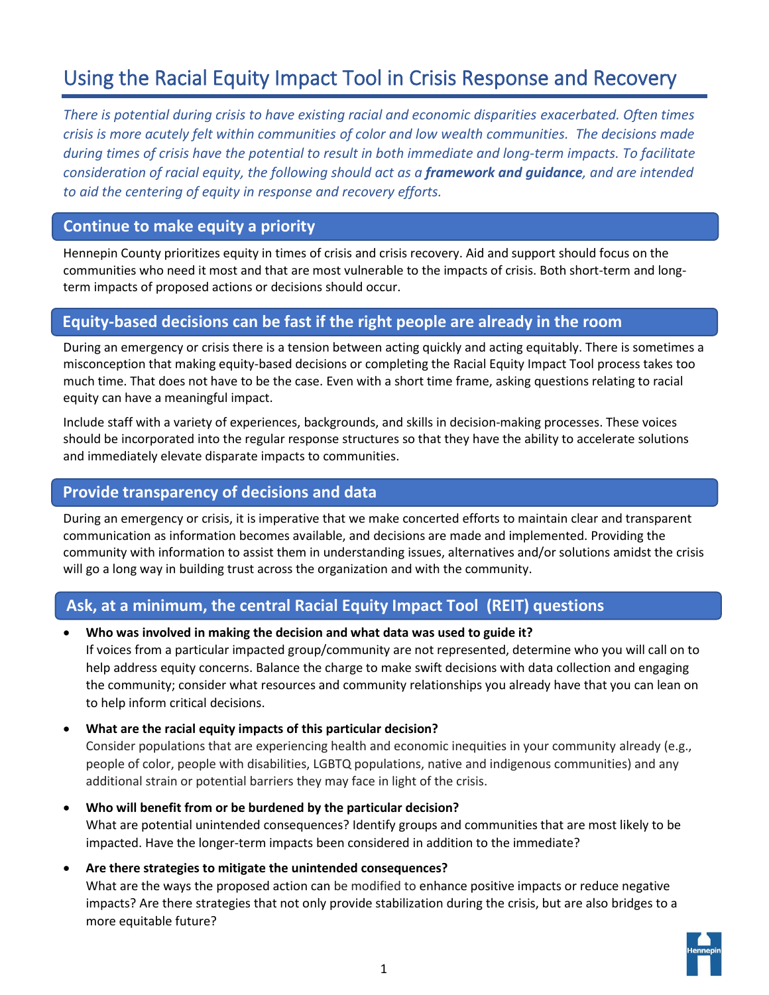# Using the Racial Equity Impact Tool in Crisis Response and Recovery

*There is potential during crisis to have existing racial and economic disparities exacerbated. Often times crisis is more acutely felt within communities of color and low wealth communities. The decisions made during times of crisis have the potential to result in both immediate and long-term impacts. To facilitate consideration of racial equity, the following should act as a framework and guidance, and are intended to aid the centering of equity in response and recovery efforts.* 

# **Continue to make equity a priority**

Hennepin County prioritizes equity in times of crisis and crisis recovery. Aid and support should focus on the communities who need it most and that are most vulnerable to the impacts of crisis. Both short-term and longterm impacts of proposed actions or decisions should occur.

# **Equity-based decisions can be fast if the right people are already in the room**

During an emergency or crisis there is a tension between acting quickly and acting equitably. There is sometimes a misconception that making equity-based decisions or completing the Racial Equity Impact Tool process takes too much time. That does not have to be the case. Even with a short time frame, asking questions relating to racial equity can have a meaningful impact.

Include staff with a variety of experiences, backgrounds, and skills in decision-making processes. These voices should be incorporated into the regular response structures so that they have the ability to accelerate solutions and immediately elevate disparate impacts to communities.

## **Provide transparency of decisions and data**

During an emergency or crisis, it is imperative that we make concerted efforts to maintain clear and transparent communication as information becomes available, and decisions are made and implemented. Providing the community with information to assist them in understanding issues, alternatives and/or solutions amidst the crisis will go a long way in building trust across the organization and with the community.

# **Ask, at a minimum, the central Racial Equity Impact Tool (REIT) questions**

• **Who was involved in making the decision and what data was used to guide it?**

If voices from a particular impacted group/community are not represented, determine who you will call on to help address equity concerns. Balance the charge to make swift decisions with data collection and engaging the community; consider what resources and community relationships you already have that you can lean on to help inform critical decisions.

• **What are the racial equity impacts of this particular decision?** 

Consider populations that are experiencing health and economic inequities in your community already (e.g., people of color, people with disabilities, LGBTQ populations, native and indigenous communities) and any additional strain or potential barriers they may face in light of the crisis.

- **Who will benefit from or be burdened by the particular decision?**  What are potential unintended consequences? Identify groups and communities that are most likely to be impacted. Have the longer-term impacts been considered in addition to the immediate?
- **Are there strategies to mitigate the unintended consequences?**  What are the ways the proposed action can be modified to enhance positive impacts or reduce negative impacts? Are there strategies that not only provide stabilization during the crisis, but are also bridges to a more equitable future?